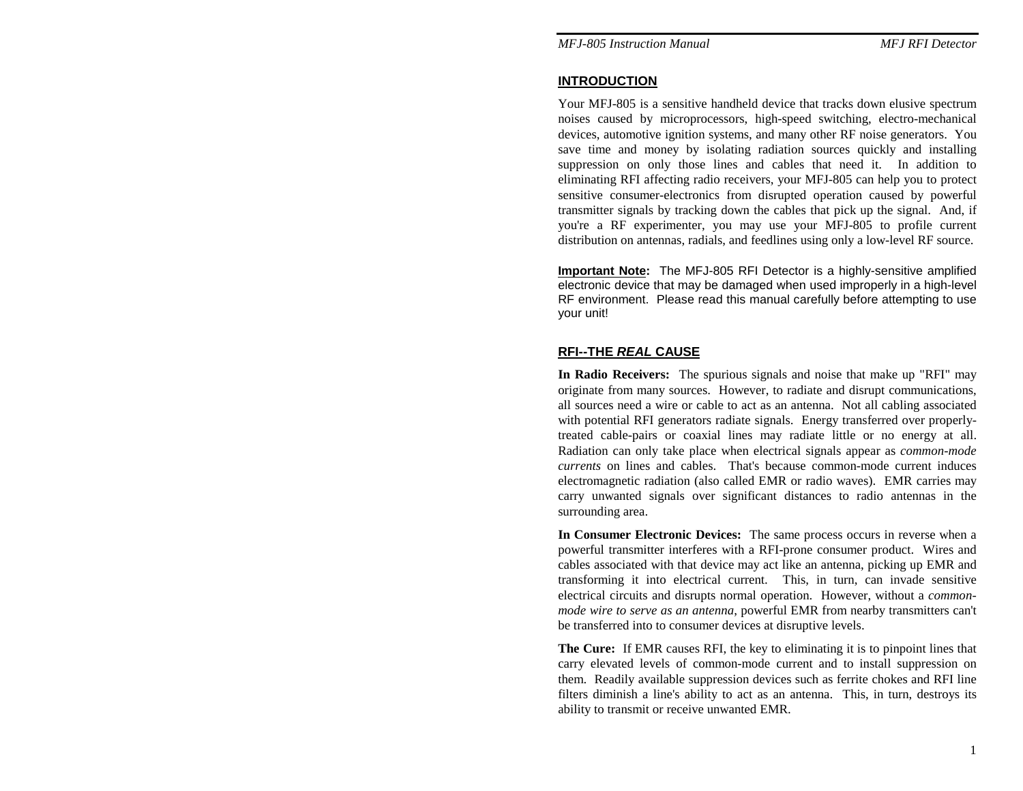### **INTRODUCTION**

Your MFJ-805 is a sensitive handheld device that tracks down elusive spectrum noises caused by microprocessors, high-speed switching, electro-mechanical devices, automotive ignition systems, and many other RF noise generators. You save time and money by isolating radiation sources quickly and installing suppression on only those lines and cables that need it. In addition to eliminating RFI affecting radio receivers, your MFJ-805 can help you to protect sensitive consumer-electronics from disrupted operation caused by powerful transmitter signals by tracking down the cables that pick up the signal. And, if you're a RF experimenter, you may use your MFJ-805 to profile current distribution on antennas, radials, and feedlines using only a low-level RF source.

**Important Note:** The MFJ-805 RFI Detector is a highly-sensitive amplified electronic device that may be damaged when used improperly in a high-level RF environment. Please read this manual carefully before attempting to use your unit!

## **RFI--THE** *REAL* **CAUSE**

**In Radio Receivers:** The spurious signals and noise that make up "RFI" may originate from many sources. However, to radiate and disrupt communications, all sources need a wire or cable to act as an antenna. Not all cabling associated with potential RFI generators radiate signals. Energy transferred over properlytreated cable-pairs or coaxial lines may radiate little or no energy at all. Radiation can only take place when electrical signals appear as *common-mode currents* on lines and cables. That's because common-mode current induces electromagnetic radiation (also called EMR or radio waves). EMR carries may carry unwanted signals over significant distances to radio antennas in the surrounding area.

**In Consumer Electronic Devices:** The same process occurs in reverse when a powerful transmitter interferes with a RFI-prone consumer product. Wires and cables associated with that device may act like an antenna, picking up EMR and transforming it into electrical current. This, in turn, can invade sensitive electrical circuits and disrupts normal operation. However, without a *commonmode wire to serve as an antenna*, powerful EMR from nearby transmitters can't be transferred into to consumer devices at disruptive levels.

**The Cure:** If EMR causes RFI, the key to eliminating it is to pinpoint lines that carry elevated levels of common-mode current and to install suppression on them. Readily available suppression devices such as ferrite chokes and RFI line filters diminish a line's ability to act as an antenna. This, in turn, destroys its ability to transmit or receive unwanted EMR.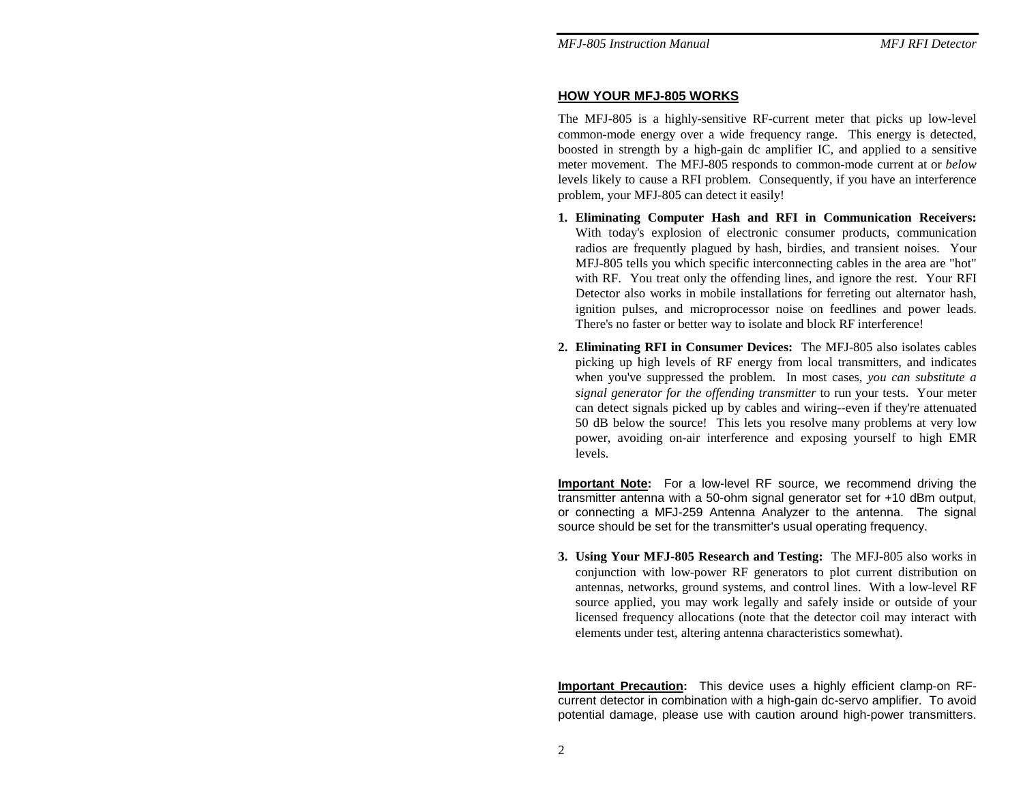### **HOW YOUR MFJ-805 WORKS**

The MFJ-805 is a highly-sensitive RF-current meter that picks up low-level common-mode energy over a wide frequency range. This energy is detected, boosted in strength by a high-gain dc amplifier IC, and applied to a sensitive meter movement. The MFJ-805 responds to common-mode current at or *below*  levels likely to cause a RFI problem. Consequently, if you have an interference problem, your MFJ-805 can detect it easily!

- **1. Eliminating Computer Hash and RFI in Communication Receivers:**  With today's explosion of electronic consumer products, communication radios are frequently plagued by hash, birdies, and transient noises. Your MFJ-805 tells you which specific interconnecting cables in the area are "hot" with RF. You treat only the offending lines, and ignore the rest. Your RFI Detector also works in mobile installations for ferreting out alternator hash, ignition pulses, and microprocessor noise on feedlines and power leads. There's no faster or better way to isolate and block RF interference!
- **2. Eliminating RFI in Consumer Devices:** The MFJ-805 also isolates cables picking up high levels of RF energy from local transmitters, and indicates when you've suppressed the problem. In most cases, *you can substitute a signal generator for the offending transmitter* to run your tests. Your meter can detect signals picked up by cables and wiring--even if they're attenuated 50 dB below the source! This lets you resolve many problems at very low power, avoiding on-air interference and exposing yourself to high EMR levels.

**Important Note:** For a low-level RF source, we recommend driving the transmitter antenna with a 50-ohm signal generator set for +10 dBm output, or connecting a MFJ-259 Antenna Analyzer to the antenna. The signal source should be set for the transmitter's usual operating frequency.

**3. Using Your MFJ-805 Research and Testing:** The MFJ-805 also works in conjunction with low-power RF generators to plot current distribution on antennas, networks, ground systems, and control lines. With a low-level RF source applied, you may work legally and safely inside or outside of your licensed frequency allocations (note that the detector coil may interact with elements under test, altering antenna characteristics somewhat).

**Important Precaution:** This device uses a highly efficient clamp-on RFcurrent detector in combination with a high-gain dc-servo amplifier. To avoid potential damage, please use with caution around high-power transmitters.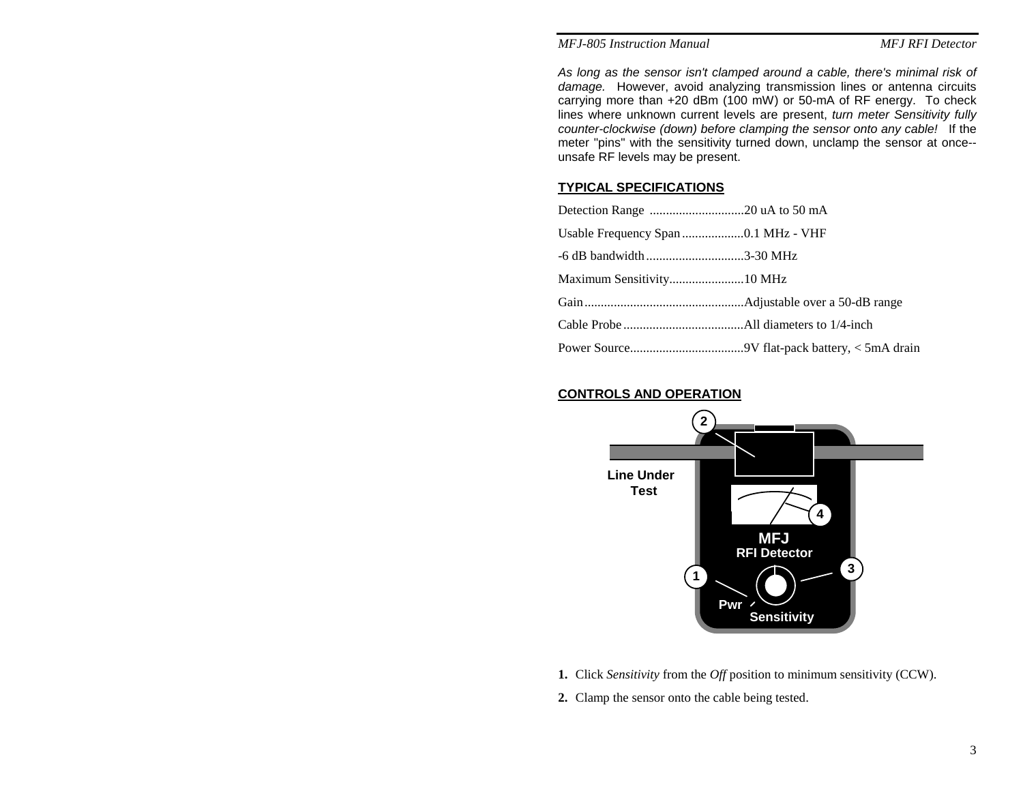#### *MFJ-805 Instruction Manual*

**MFJ RFI Detector** 

*As long as the sensor isn't clamped around a cable, there's minimal risk of damage.* However, avoid analyzing transmission lines or antenna circuits carrying more than +20 dBm (100 mW) or 50-mA of RF energy. To check lines where unknown current levels are present, *turn meter Sensitivity fully counter-clockwise (down) before clamping the sensor onto any cable!* If the meter "pins" with the sensitivity turned down, unclamp the sensor at once- unsafe RF levels may be present.

### **TYPICAL SPECIFICATIONS**

| $-6$ dB bandwidth 3-30 MHz |  |
|----------------------------|--|
|                            |  |
|                            |  |
|                            |  |
|                            |  |

### **CONTROLS AND OPERATION**



- **1.** Click *Sensitivity* from the *Off* position to minimum sensitivity (CCW).
- **2.** Clamp the sensor onto the cable being tested.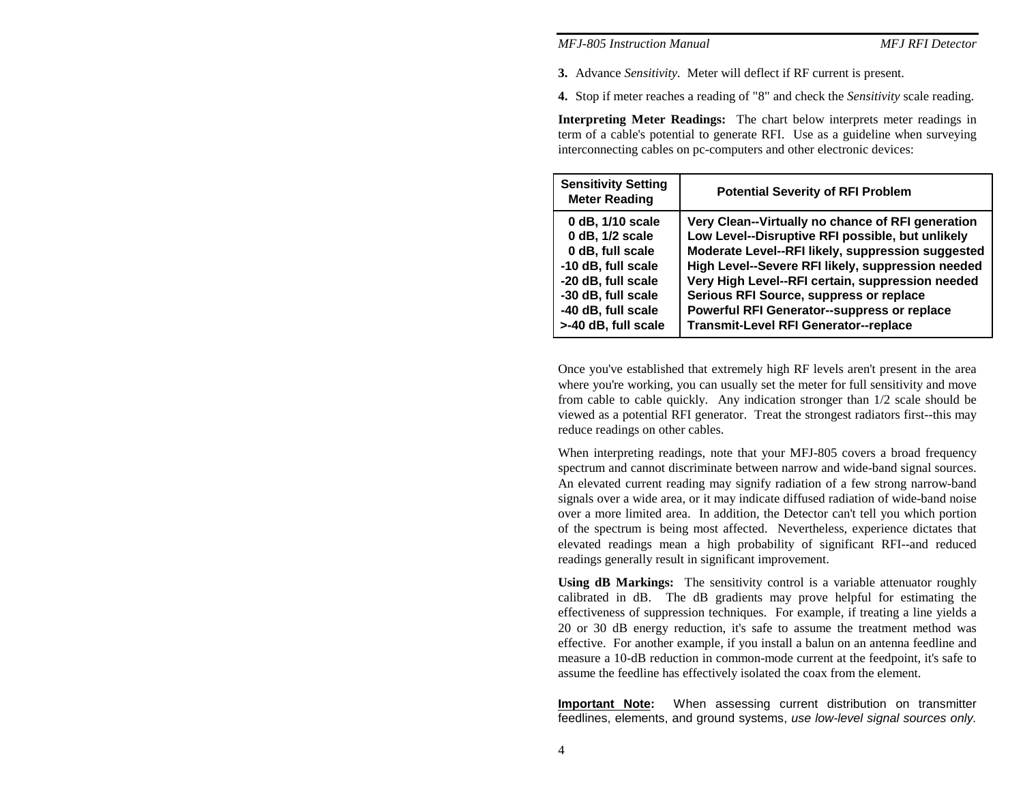#### *MFJ-805 Instruction Manual MFJ RFI Detector*

**3.** Advance *Sensitivity.* Meter will deflect if RF current is present.

**4.** Stop if meter reaches a reading of "8" and check the *Sensitivity* scale reading.

**Interpreting Meter Readings:** The chart below interprets meter readings in term of a cable's potential to generate RFI. Use as a guideline when surveying interconnecting cables on pc-computers and other electronic devices:

| <b>Sensitivity Setting</b><br><b>Meter Reading</b> | <b>Potential Severity of RFI Problem</b>          |
|----------------------------------------------------|---------------------------------------------------|
| 0 dB, 1/10 scale                                   | Very Clean--Virtually no chance of RFI generation |
| 0 dB, 1/2 scale                                    | Low Level--Disruptive RFI possible, but unlikely  |
| 0 dB, full scale                                   | Moderate Level--RFI likely, suppression suggested |
| -10 dB, full scale                                 | High Level--Severe RFI likely, suppression needed |
| -20 dB, full scale                                 | Very High Level--RFI certain, suppression needed  |
| -30 dB, full scale                                 | Serious RFI Source, suppress or replace           |
| -40 dB, full scale                                 | Powerful RFI Generator--suppress or replace       |
| >-40 dB, full scale                                | Transmit-Level RFI Generator--replace             |

Once you've established that extremely high RF levels aren't present in the area where you're working, you can usually set the meter for full sensitivity and move from cable to cable quickly. Any indication stronger than 1/2 scale should be viewed as a potential RFI generator. Treat the strongest radiators first--this may reduce readings on other cables.

When interpreting readings, note that your MFJ-805 covers a broad frequency spectrum and cannot discriminate between narrow and wide-band signal sources. An elevated current reading may signify radiation of a few strong narrow-band signals over a wide area, or it may indicate diffused radiation of wide-band noise over a more limited area. In addition, the Detector can't tell you which portion of the spectrum is being most affected. Nevertheless, experience dictates that elevated readings mean a high probability of significant RFI--and reduced readings generally result in significant improvement.

**Using dB Markings:** The sensitivity control is a variable attenuator roughly calibrated in dB. The dB gradients may prove helpful for estimating the effectiveness of suppression techniques. For example, if treating a line yields a 20 or 30 dB energy reduction, it's safe to assume the treatment method was effective. For another example, if you install a balun on an antenna feedline and measure a 10-dB reduction in common-mode current at the feedpoint, it's safe to assume the feedline has effectively isolated the coax from the element.

**Important Note:** When assessing current distribution on transmitter feedlines, elements, and ground systems, *use low-level signal sources only.*